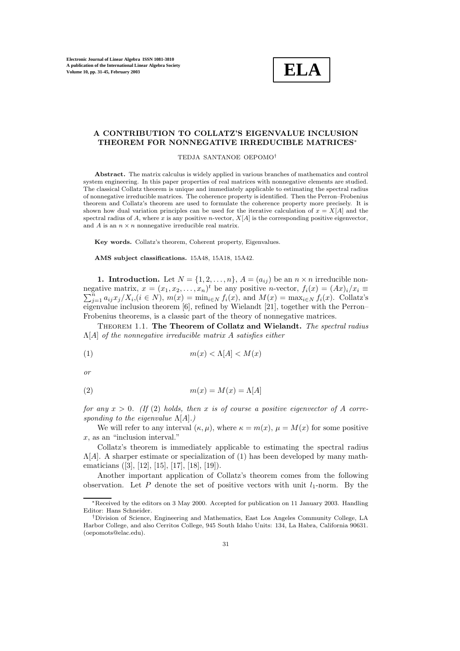

# **A CONTRIBUTION TO COLLATZ'S EIGENVALUE INCLUSION THEOREM FOR NONNEGATIVE IRREDUCIBLE MATRICES**<sup>∗</sup>

TEDJA SANTANOE OEPOMO†

**Abstract.** The matrix calculus is widely applied in various branches of mathematics and control system engineering. In this paper properties of real matrices with nonnegative elements are studied. The classical Collatz theorem is unique and immediately applicable to estimating the spectral radius of nonnegative irreducible matrices. The coherence property is identified. Then the Perron–Frobenius theorem and Collatz's theorem are used to formulate the coherence property more precisely. It is shown how dual variation principles can be used for the iterative calculation of  $x = X[A]$  and the spectral radius of A, where x is any positive n-vector,  $X[A]$  is the corresponding positive eigenvector, and  $A$  is an  $n \times n$  nonnegative irreducible real matrix.

**Key words.** Collatz's theorem, Coherent property, Eigenvalues.

**AMS subject classifications.** 15A48, 15A18, 15A42.

**1. Introduction.** Let  $N = \{1, 2, ..., n\}$ ,  $A = (a_{ij})$  be an  $n \times n$  irreducible nonnegative matrix,  $x = (x_1, x_2, \ldots, x_n)^t$ negative matrix,  $x = (x_1, x_2, ..., x_n)^t$  be any positive *n*-vector,  $f_i(x) = (Ax)_i/x_i \equiv \sum_{i=1}^n a_{ij}x_j/X_i, (i \in N), m(x) = \min_{i \in N} f_i(x)$ , and  $M(x) = \max_{i \in N} f_i(x)$ . Collatz's  $j=1 \atop j=1} a_{ij}x_j/X_i, (i \in N), m(x) = \min_{i \in N} f_i(x), \text{ and } M(x) = \max_{i \in N} f_i(x).$  Collatz's eigenvalue inclusion theorem [6], refined by Wielandt [21], together with the Perron– Frobenius theorems, is a classic part of the theory of nonnegative matrices.

Theorem 1.1. **The Theorem of Collatz and Wielandt.** *The spectral radius* Λ[A] *of the nonnegative irreducible matrix* A *satisfies either*

$$
(1) \t\t\t m(x) < \Lambda[A] < M(x)
$$

*or*

$$
(2) \t\t\t m(x) = M(x) = \Lambda[A]
$$

*for any*  $x > 0$ . (If (2) *holds, then* x *is of course a positive eigenvector of* A *corresponding to the eigenvalue* Λ[A]*.)*

We will refer to any interval  $(\kappa, \mu)$ , where  $\kappa = m(x)$ ,  $\mu = M(x)$  for some positive x, as an "inclusion interval."

Collatz's theorem is immediately applicable to estimating the spectral radius  $\Lambda[A]$ . A sharper estimate or specialization of (1) has been developed by many mathematicians ([3], [12], [15], [17], [18], [19]).

Another important application of Collatz's theorem comes from the following observation. Let  $P$  denote the set of positive vectors with unit  $l_1$ -norm. By the

<sup>∗</sup>Received by the editors on 3 May 2000. Accepted for publication on 11 January 2003. Handling Editor: Hans Schneider.

<sup>†</sup>Division of Science, Engineering and Mathematics, East Los Angeles Community College, LA Harbor College, and also Cerritos College, 945 South Idaho Units: 134, La Habra, California 90631. (oepomots@elac.edu).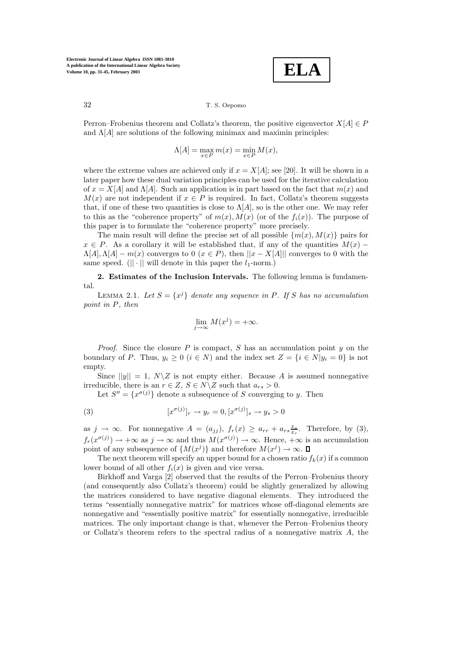**ELA**

32 T. S. Oepomo

Perron–Frobenius theorem and Collatz's theorem, the positive eigenvector  $X[A] \in P$ and  $\Lambda[A]$  are solutions of the following minimax and maximin principles:

$$
\Lambda[A] = \max_{x \in P} m(x) = \min_{x \in P} M(x),
$$

where the extreme values are achieved only if  $x = X[A]$ ; see [20]. It will be shown in a later paper how these dual variation principles can be used for the iterative calculation of  $x = X[A]$  and  $\Lambda[A]$ . Such an application is in part based on the fact that  $m(x)$  and  $M(x)$  are not independent if  $x \in P$  is required. In fact, Collatz's theorem suggests that, if one of these two quantities is close to  $\Lambda[A]$ , so is the other one. We may refer to this as the "coherence property" of  $m(x)$ ,  $M(x)$  (or of the  $f_i(x)$ ). The purpose of this paper is to formulate the "coherence property" more precisely.

The main result will define the precise set of all possible  $\{m(x), M(x)\}\$  pairs for  $x \in P$ . As a corollary it will be established that, if any of the quantities  $M(x)$  −  $\Lambda[A], \Lambda[A] - m(x)$  converges to 0  $(x \in P)$ , then  $||x - X[A]||$  converges to 0 with the same speed.  $(|| \cdot ||$  will denote in this paper the  $l_1$ -norm.)

**2. Estimates of the Inclusion Intervals.** The following lemma is fundamental.

LEMMA 2.1. Let  $S = \{x^j\}$  denote any sequence in P. If S has no accumulation *point in* P*, then*

$$
\lim_{j \to \infty} M(x^j) = +\infty.
$$

*Proof.* Since the closure P is compact, S has an accumulation point  $y$  on the boundary of P. Thus,  $y_i \ge 0$   $(i \in N)$  and the index set  $Z = \{i \in N | y_i = 0\}$  is not empty.

Since  $||y|| = 1$ ,  $N\Z$  is not empty either. Because A is assumed nonnegative irreducible, there is an  $r \in Z$ ,  $S \in N \backslash Z$  such that  $a_{rs} > 0$ .

Let  $S'' = \{x^{\sigma(j)}\}\$  denote a subsequence of S converging to y. Then

(3) 
$$
[x^{\sigma(j)}]_r \to y_r = 0, [x^{\sigma(j)}]_s \to y_s > 0
$$

as  $j \to \infty$ . For nonnegative  $A = (a_{jj})$ ,  $f_r(x) \ge a_{rr} + a_{rs} \frac{x_s}{x_r}$ . Therefore, by (3),  $f_r(x^{\sigma(j)}) \to +\infty$  as  $j \to \infty$  and thus  $M(x^{\sigma(j)}) \to \infty$ . Hence,  $+\infty$  is an accumulation point of any subsequence of  $\{M(x^j)\}\$ and therefore  $M(x^j) \to \infty$ .

The next theorem will specify an upper bound for a chosen ratio  $f_k(x)$  if a common lower bound of all other  $f_i(x)$  is given and vice versa.

Birkhoff and Varga [2] observed that the results of the Perron–Frobenius theory (and consequently also Collatz's theorem) could be slightly generalized by allowing the matrices considered to have negative diagonal elements. They introduced the terms "essentially nonnegative matrix" for matrices whose off-diagonal elements are nonnegative and "essentially positive matrix" for essentially nonnegative, irreducible matrices. The only important change is that, whenever the Perron–Frobenius theory or Collatz's theorem refers to the spectral radius of a nonnegative matrix  $A$ , the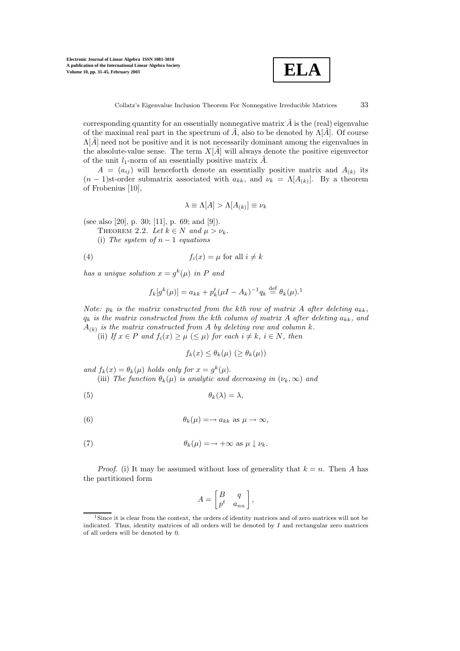

corresponding quantity for an essentially nonnegative matrix  $\tilde{A}$  is the (real) eigenvalue of the maximal real part in the spectrum of  $\tilde{A}$ , also to be denoted by  $\Lambda[\tilde{A}]$ . Of course  $\Lambda[\vec{A}]$  need not be positive and it is not necessarily dominant among the eigenvalues in the absolute-value sense. The term  $X[\tilde{A}]$  will always denote the positive eigenvector of the unit  $l_1$ -norm of an essentially positive matrix  $\tilde{A}$ .

 $A = (a_{ij})$  will henceforth denote an essentially positive matrix and  $A_{(k)}$  its  $(n-1)$ st-order submatrix associated with  $a_{kk}$ , and  $\nu_k = \Lambda[A_{(k)}]$ . By a theorem of Frobenius [10],

$$
\lambda \equiv \Lambda[A] > \Lambda[A_{(k)}] \equiv \nu_k
$$

(see also [20], p. 30; [11], p. 69; and [9]).

THEOREM 2.2. Let  $k \in N$  and  $\mu > \nu_k$ .

(i) The system of  $n-1$  *equations* 

(4) 
$$
f_i(x) = \mu \text{ for all } i \neq k
$$

*has a unique solution*  $x = g^k(\mu)$  *in* P *and* 

$$
f_k[g^k(\mu)] = a_{kk} + p_k^t(\mu I - A_k)^{-1}q_k \stackrel{\text{def}}{=} \theta_k(\mu).
$$

*Note:*  $p_k$  *is the matrix constructed from the kth row of matrix* A *after deleting*  $a_{kk}$ *,* q<sup>k</sup> *is the matrix constructed from the* k*th column of matrix* A *after deleting* akk*, and*  $A_{(k)}$  *is the matrix constructed from A by deleting row and column k.* 

(ii) If  $x \in P$  and  $f_i(x) \geq \mu \leq \mu$  for each  $i \neq k$ ,  $i \in N$ , then

$$
f_k(x) \leq \theta_k(\mu) \ (\geq \theta_k(\mu))
$$

*and*  $f_k(x) = \theta_k(\mu)$  *holds only for*  $x = g^k(\mu)$ . (iii) The function  $\theta_k(\mu)$  is analytic and decreasing in  $(\nu_k, \infty)$  and

$$
\theta_k(\lambda) = \lambda,
$$

(6) 
$$
\theta_k(\mu) = \rightarrow a_{kk} \text{ as } \mu \rightarrow \infty,
$$

(7) 
$$
\theta_k(\mu) = \to +\infty \text{ as } \mu \downarrow \nu_k.
$$

*Proof.* (i) It may be assumed without loss of generality that  $k = n$ . Then A has the partitioned form

$$
A = \begin{bmatrix} B & q \\ p^t & a_{nn} \end{bmatrix},
$$

<sup>&</sup>lt;sup>1</sup>Since it is clear from the context, the orders of identity matrices and of zero matrices will not be indicated. Thus, identity matrices of all orders will be denoted by  $I$  and rectangular zero matrices of all orders will be denoted by 0.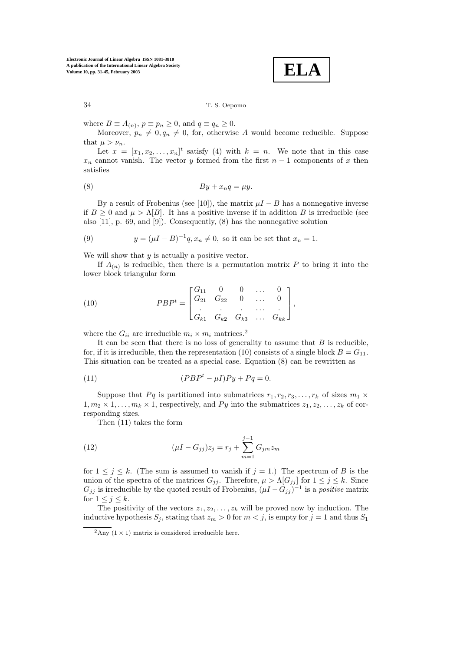

34 T. S. Oepomo

where  $B \equiv A_{(n)}$ ,  $p \equiv p_n \ge 0$ , and  $q \equiv q_n \ge 0$ .

Moreover,  $p_n \neq 0, q_n \neq 0$ , for, otherwise A would become reducible. Suppose that  $\mu > \nu_n$ .

Let  $x = [x_1, x_2, \ldots, x_n]^t$  satisfy (4) with  $k = n$ . We note that in this case  $x_n$  cannot vanish. The vector y formed from the first  $n-1$  components of x then satisfies

$$
(8) \t\t By + x_nq = \mu y.
$$

By a result of Frobenius (see [10]), the matrix  $\mu I - B$  has a nonnegative inverse if  $B \geq 0$  and  $\mu > \Lambda[B]$ . It has a positive inverse if in addition B is irreducible (see also [11], p. 69, and [9]). Consequently, (8) has the nonnegative solution

(9) 
$$
y = (\mu I - B)^{-1}q, x_n \neq 0
$$
, so it can be set that  $x_n = 1$ .

We will show that  $y$  is actually a positive vector.

If  $A_{(n)}$  is reducible, then there is a permutation matrix P to bring it into the lower block triangular form

(10) 
$$
PBP^{t} = \begin{bmatrix} G_{11} & 0 & 0 & \dots & 0 \\ G_{21} & G_{22} & 0 & \dots & 0 \\ \vdots & \vdots & \ddots & \vdots \\ G_{k1} & G_{k2} & G_{k3} & \dots & G_{kk} \end{bmatrix},
$$

where the  $G_{ii}$  are irreducible  $m_i \times m_i$  matrices.<sup>2</sup>

It can be seen that there is no loss of generality to assume that  $B$  is reducible, for, if it is irreducible, then the representation (10) consists of a single block  $B = G_{11}$ . This situation can be treated as a special case. Equation (8) can be rewritten as

(11) 
$$
(PBPt - \mu I)Py + Pq = 0.
$$

Suppose that Pq is partitioned into submatrices  $r_1, r_2, r_3, \ldots, r_k$  of sizes  $m_1 \times$  $1, m_2 \times 1, \ldots, m_k \times 1$ , respectively, and Py into the submatrices  $z_1, z_2, \ldots, z_k$  of corresponding sizes.

Then (11) takes the form

(12) 
$$
(\mu I - G_{jj})z_j = r_j + \sum_{m=1}^{j-1} G_{jm} z_m
$$

for  $1 \leq j \leq k$ . (The sum is assumed to vanish if  $j = 1$ .) The spectrum of B is the union of the spectra of the matrices  $G_{jj}$ . Therefore,  $\mu > \Lambda[G_{jj}]$  for  $1 \leq j \leq k$ . Since  $G_{jj}$  is irreducible by the quoted result of Frobenius,  $(\mu I - G_{jj})^{-1}$  is a *positive* matrix for  $1 \leq j \leq k$ .

The positivity of the vectors  $z_1, z_2, \ldots, z_k$  will be proved now by induction. The inductive hypothesis  $S_j$ , stating that  $z_m > 0$  for  $m < j$ , is empty for  $j = 1$  and thus  $S_1$ 

<sup>&</sup>lt;sup>2</sup>Any (1  $\times$  1) matrix is considered irreducible here.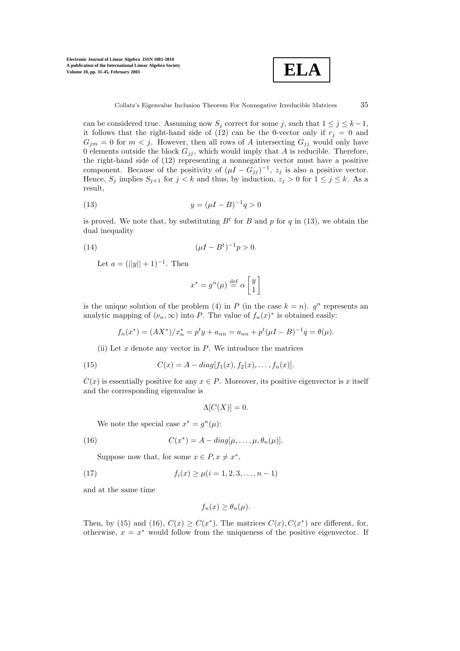

can be considered true. Assuming now  $S_j$  correct for some j, such that  $1 \leq j \leq k-1$ , it follows that the right-hand side of (12) can be the 0-vector only if  $r_j = 0$  and  $G_{jm} = 0$  for  $m < j$ . However, then all rows of A intersecting  $G_{jj}$  would only have 0 elements outside the block  $G_{jj}$ , which would imply that A is reducible. Therefore, the right-hand side of (12) representing a nonnegative vector must have a positive component. Because of the positivity of  $(\mu I - G_{jj})^{-1}$ ,  $z_j$  is also a positive vector. Hence,  $S_j$  implies  $S_{j+1}$  for  $j < k$  and thus, by induction,  $z_j > 0$  for  $1 \leq j \leq k$ . As a result,

(13) 
$$
y = (\mu I - B)^{-1} q > 0
$$

is proved. We note that, by substituting  $B<sup>t</sup>$  for B and p for q in (13), we obtain the dual inequality

(14) 
$$
(\mu I - B^t)^{-1} p > 0.
$$

Let  $a = (||y|| + 1)^{-1}$ . Then

$$
x^* = g^n(\mu) \stackrel{\text{def}}{=} \alpha \begin{bmatrix} y \\ 1 \end{bmatrix}
$$

is the unique solution of the problem (4) in P (in the case  $k = n$ ).  $q^n$  represents an analytic mapping of  $(\nu_n, \infty)$  into P. The value of  $f_n(x)^*$  is obtained easily:

$$
f_n(x^*) = (AX^*)/x_n^* = p^t y + a_{nn} = a_{nn} + p^t(\mu I - B)^{-1}q = \theta(\mu).
$$

(ii) Let  $x$  denote any vector in  $P$ . We introduce the matrices

(15) 
$$
C(x) = A - diag[f_1(x), f_2(x), \dots, f_n(x)].
$$

 $C(x)$  is essentially positive for any  $x \in P$ . Moreover, its positive eigenvector is x itself and the corresponding eigenvalue is

$$
\Lambda[C(X)] = 0.
$$

We note the special case  $x^* = q^n(\mu)$ :

(16) 
$$
C(x^*) = A - diag[\mu, \dots, \mu, \theta_n(\mu)].
$$

Suppose now that, for some  $x \in P, x \neq x^*$ ,

(17) 
$$
f_i(x) \ge \mu(i = 1, 2, 3, \dots, n - 1)
$$

and at the same time

$$
f_n(x) \ge \theta_n(\mu).
$$

Then, by (15) and (16),  $C(x) \geq C(x^*)$ . The matrices  $C(x)$ ,  $C(x^*)$  are different, for, otherwise,  $x = x^*$  would follow from the uniqueness of the positive eigenvector. If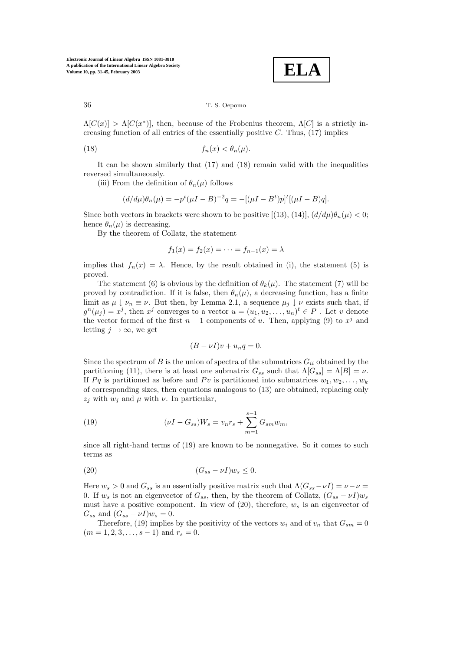**ELA**

## 36 T. S. Oepomo

 $\Lambda[C(x)] > \Lambda[C(x^*)]$ , then, because of the Frobenius theorem,  $\Lambda[C]$  is a strictly increasing function of all entries of the essentially positive  $C$ . Thus,  $(17)$  implies

$$
(18) \t\t f_n(x) < \theta_n(\mu).
$$

It can be shown similarly that (17) and (18) remain valid with the inequalities reversed simultaneously.

(iii) From the definition of  $\theta_n(\mu)$  follows

$$
(d/d\mu)\theta_n(\mu) = -p^t(\mu I - B)^{-2}q = -[(\mu I - B^t)p]^t[(\mu I - B)q].
$$

Since both vectors in brackets were shown to be positive [(13), (14)],  $(d/d\mu)\theta_n(\mu) < 0;$ hence  $\theta_n(\mu)$  is decreasing.

By the theorem of Collatz, the statement

$$
f_1(x) = f_2(x) = \cdots = f_{n-1}(x) = \lambda
$$

implies that  $f_n(x) = \lambda$ . Hence, by the result obtained in (i), the statement (5) is proved.

The statement (6) is obvious by the definition of  $\theta_k(\mu)$ . The statement (7) will be proved by contradiction. If it is false, then  $\theta_n(\mu)$ , a decreasing function, has a finite limit as  $\mu \downarrow \nu_n \equiv \nu$ . But then, by Lemma 2.1, a sequence  $\mu_j \downarrow \nu$  exists such that, if  $g^{n}(\mu_{i}) = x^{j}$ , then  $x^{j}$  converges to a vector  $u = (u_{1}, u_{2}, \ldots, u_{n})^{t} \in P$ . Let v denote the vector formed of the first  $n-1$  components of u. Then, applying (9) to  $x<sup>j</sup>$  and letting  $j \to \infty$ , we get

$$
(B - \nu I)v + u_n q = 0.
$$

Since the spectrum of B is the union of spectra of the submatrices  $G_{ii}$  obtained by the partitioning (11), there is at least one submatrix  $G_{ss}$  such that  $\Lambda[G_{ss}] = \Lambda[B] = \nu$ . If Pq is partitioned as before and Pv is partitioned into submatrices  $w_1, w_2, \ldots, w_k$ of corresponding sizes, then equations analogous to (13) are obtained, replacing only  $z_i$  with  $w_i$  and  $\mu$  with  $\nu$ . In particular,

(19) 
$$
(\nu I - G_{ss})W_s = v_n r_s + \sum_{m=1}^{s-1} G_{sm} w_m,
$$

since all right-hand terms of (19) are known to be nonnegative. So it comes to such terms as

(20) (Gss − νI)w<sup>s</sup> ≤ 0.

Here  $w_s > 0$  and  $G_{ss}$  is an essentially positive matrix such that  $\Lambda(G_{ss}-\nu I) = \nu - \nu =$ 0. If  $w_s$  is not an eigenvector of  $G_{ss}$ , then, by the theorem of Collatz,  $(G_{ss} - \nu I)w_s$ must have a positive component. In view of (20), therefore,  $w_s$  is an eigenvector of  $G_{ss}$  and  $(G_{ss} - \nu I)w_s = 0$ .

Therefore, (19) implies by the positivity of the vectors  $w_i$  and of  $v_n$  that  $G_{sm} = 0$  $(m = 1, 2, 3, \ldots, s - 1)$  and  $r_s = 0$ .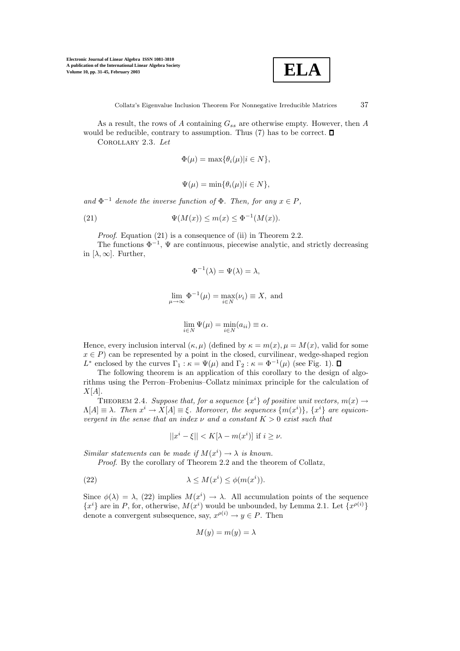

As a result, the rows of A containing  $G_{ss}$  are otherwise empty. However, then A would be reducible, contrary to assumption. Thus  $(7)$  has to be correct.  $\square$ Corollary 2.3. *Let*

$$
\Phi(\mu) = \max{\lbrace \theta_i(\mu) | i \in N \rbrace},
$$

$$
\Psi(\mu) = \min{\lbrace \theta_i(\mu) | i \in N \rbrace},
$$

and  $\Phi^{-1}$  *denote the inverse function of*  $\Phi$ *. Then, for any*  $x \in P$ *,* 

(21) 
$$
\Psi(M(x)) \le m(x) \le \Phi^{-1}(M(x)).
$$

*Proof.* Equation (21) is a consequence of (ii) in Theorem 2.2.

The functions  $\Phi^{-1}$ ,  $\Psi$  are continuous, piecewise analytic, and strictly decreasing in  $[\lambda, \infty]$ . Further,

$$
\Phi^{-1}(\lambda) = \Psi(\lambda) = \lambda,
$$
  

$$
\lim_{\mu \to \infty} \Phi^{-1}(\mu) = \max_{i \in N} (\nu_i) \equiv X, \text{ and}
$$

$$
\lim_{i \in N} \Psi(\mu) = \min_{i \in N} (a_{ii}) \equiv \alpha.
$$

Hence, every inclusion interval  $(\kappa, \mu)$  (defined by  $\kappa = m(x), \mu = M(x)$ , valid for some  $x \in P$ ) can be represented by a point in the closed, curvilinear, wedge-shaped region L<sup>\*</sup> enclosed by the curves  $\Gamma_1 : \kappa = \Psi(\mu)$  and  $\Gamma_2 : \kappa = \Phi^{-1}(\mu)$  (see Fig. 1).  $\Box$ 

The following theorem is an application of this corollary to the design of algorithms using the Perron–Frobenius–Collatz minimax principle for the calculation of  $X[A]$ .

THEOREM 2.4. *Suppose that, for a sequence*  $\{x^i\}$  *of positive unit vectors,*  $m(x) \rightarrow$  $\Lambda[A] \equiv \lambda$ . Then  $x^i \to X[A] \equiv \xi$ . Moreover, the sequences  $\{m(x^i)\},\{x^i\}$  are equicon*vergent in the sense that an index*  $\nu$  *and a constant*  $K > 0$  *exist such that* 

$$
||x^i - \xi|| < K[\lambda - m(x^i)] \text{ if } i \ge \nu.
$$

*Similar statements can be made if*  $M(x^{i}) \rightarrow \lambda$  *is known.* 

*Proof.* By the corollary of Theorem 2.2 and the theorem of Collatz.

(22) 
$$
\lambda \le M(x^i) \le \phi(m(x^i)).
$$

Since  $\phi(\lambda) = \lambda$ , (22) implies  $M(x^i) \to \lambda$ . All accumulation points of the sequence  ${x^i}$  are in P, for, otherwise,  $M(x^i)$  would be unbounded, by Lemma 2.1. Let  ${x^{\rho(i)}}$ denote a convergent subsequence, say,  $x^{\rho(i)} \to y \in P$ . Then

$$
M(y) = m(y) = \lambda
$$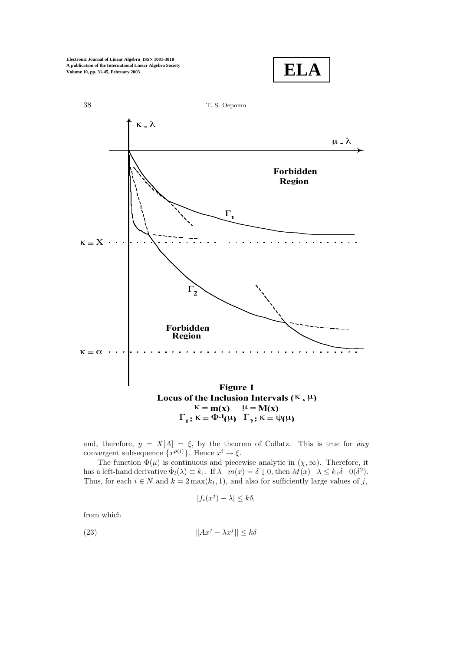$$
\mathbf{ELA}
$$



and, therefore,  $y = X[A] = \xi$ , by the theorem of Collatz. This is true for *any* convergent subsequence  $\{x^{\rho(i)}\}$ . Hence  $x^i \to \xi$ .

The function  $\Phi(\mu)$  is continuous and piecewise analytic in  $(\chi, \infty)$ . Therefore, it has a left-hand derivative  $\dot{\Phi}_l(\lambda) \equiv k_1$ . If  $\lambda - m(x) = \delta \downarrow 0$ , then  $M(x) - \lambda \leq k_1 \delta + 0(\delta^2)$ . Thus, for each  $i \in N$  and  $k = 2 \max(k_1, 1)$ , and also for sufficiently large values of j,

$$
|f_i(x^j) - \lambda| \le k\delta,
$$

from which

$$
||Ax^{j} - \lambda x^{j}|| \leq k\delta
$$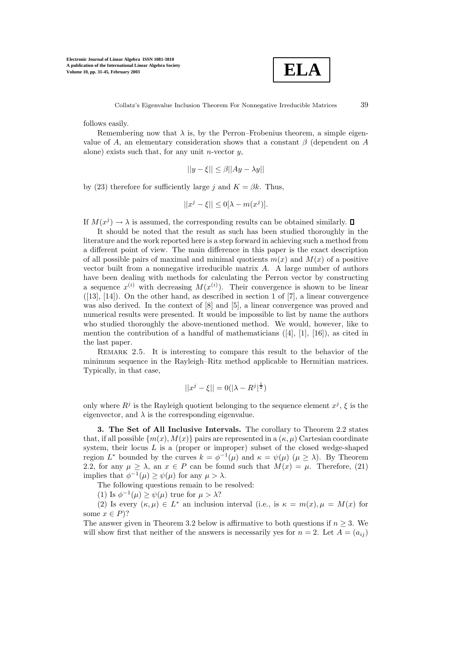

follows easily.

Remembering now that  $\lambda$  is, by the Perron–Frobenius theorem, a simple eigenvalue of A, an elementary consideration shows that a constant  $\beta$  (dependent on A alone) exists such that, for any unit *n*-vector  $y$ ,

$$
||y - \xi|| \le \beta ||Ay - \lambda y||
$$

by (23) therefore for sufficiently large j and  $K = \beta k$ . Thus,

$$
||x^j - \xi|| \le 0[\lambda - m(x^j)].
$$

If  $M(x^j) \to \lambda$  is assumed, the corresponding results can be obtained similarly.  $\Box$ 

It should be noted that the result as such has been studied thoroughly in the literature and the work reported here is a step forward in achieving such a method from a different point of view. The main difference in this paper is the exact description of all possible pairs of maximal and minimal quotients  $m(x)$  and  $M(x)$  of a positive vector built from a nonnegative irreducible matrix A. A large number of authors have been dealing with methods for calculating the Perron vector by constructing a sequence  $x^{(i)}$  with decreasing  $M(x^{(i)})$ . Their convergence is shown to be linear  $([13], [14])$ . On the other hand, as described in section 1 of [7], a linear convergence was also derived. In the context of [8] and [5], a linear convergence was proved and numerical results were presented. It would be impossible to list by name the authors who studied thoroughly the above-mentioned method. We would, however, like to mention the contribution of a handful of mathematicians  $([4], [1], [16])$ , as cited in the last paper.

REMARK 2.5. It is interesting to compare this result to the behavior of the minimum sequence in the Rayleigh–Ritz method applicable to Hermitian matrices. Typically, in that case,

$$
||x^{j} - \xi|| = 0(|\lambda - R^{j}|^{\frac{1}{2}})
$$

only where  $R^j$  is the Rayleigh quotient belonging to the sequence element  $x^j$ ,  $\xi$  is the eigenvector, and  $\lambda$  is the corresponding eigenvalue.

**3. The Set of All Inclusive Intervals.** The corollary to Theorem 2.2 states that, if all possible  $\{m(x), M(x)\}$  pairs are represented in a  $(\kappa, \mu)$  Cartesian coordinate system, their locus  $L$  is a (proper or improper) subset of the closed wedge-shaped region  $L^*$  bounded by the curves  $k = \phi^{-1}(\mu)$  and  $\kappa = \psi(\mu)$   $(\mu \ge \lambda)$ . By Theorem 2.2, for any  $\mu \geq \lambda$ , an  $x \in P$  can be found such that  $M(x) = \mu$ . Therefore, (21) implies that  $\phi^{-1}(\mu) \ge \psi(\mu)$  for any  $\mu > \lambda$ .

The following questions remain to be resolved:

(1) Is  $\phi^{-1}(\mu) \ge \psi(\mu)$  true for  $\mu > \lambda$ ?

(2) Is every  $(\kappa, \mu) \in L^*$  an inclusion interval (i.e., is  $\kappa = m(x), \mu = M(x)$  for some  $x \in P$ ?

The answer given in Theorem 3.2 below is affirmative to both questions if  $n \geq 3$ . We will show first that neither of the answers is necessarily yes for  $n = 2$ . Let  $A = (a_{ij})$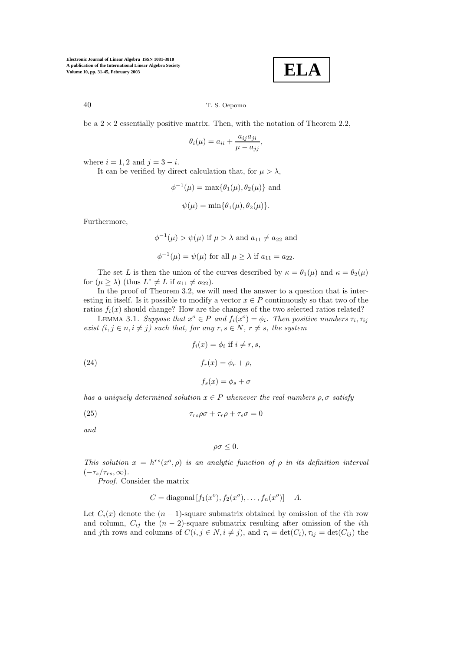$$
\boxed{\textbf{ELA}}
$$

#### 40 T. S. Oepomo

be a  $2 \times 2$  essentially positive matrix. Then, with the notation of Theorem 2.2,

$$
\theta_i(\mu) = a_{ii} + \frac{a_{ij}a_{ji}}{\mu - a_{jj}},
$$

where  $i = 1, 2$  and  $j = 3 - i$ .

It can be verified by direct calculation that, for  $\mu > \lambda$ ,

$$
\phi^{-1}(\mu) = \max{\{\theta_1(\mu), \theta_2(\mu)\}}
$$
 and  

$$
\psi(\mu) = \min{\{\theta_1(\mu), \theta_2(\mu)\}}.
$$

Furthermore,

$$
\phi^{-1}(\mu) > \psi(\mu)
$$
 if  $\mu > \lambda$  and  $a_{11} \neq a_{22}$  and  
 $\phi^{-1}(\mu) = \psi(\mu)$  for all  $\mu \geq \lambda$  if  $a_{11} = a_{22}$ .

The set L is then the union of the curves described by  $\kappa = \theta_1(\mu)$  and  $\kappa = \theta_2(\mu)$ for  $(\mu \ge \lambda)$  (thus  $L^* \ne L$  if  $a_{11} \ne a_{22}$ ).

In the proof of Theorem 3.2, we will need the answer to a question that is interesting in itself. Is it possible to modify a vector  $x \in P$  continuously so that two of the ratios  $f_i(x)$  should change? How are the changes of the two selected ratios related?

LEMMA 3.1. *Suppose that*  $x^{\circ} \in P$  *and*  $f_i(x^{\circ}) = \phi_i$ *. Then positive numbers*  $\tau_i$ *,*  $\tau_{ij}$ *exist*  $(i, j \in n, i \neq j)$  *such that, for any*  $r, s \in N, r \neq s$ *, the system* 

(24) 
$$
f_i(x) = \phi_i \text{ if } i \neq r, s,
$$

$$
f_r(x) = \phi_r + \rho,
$$

$$
f_s(x) = \phi_s + \sigma
$$

*has a uniquely determined solution*  $x \in P$  *whenever the real numbers*  $\rho, \sigma$  *satisfy* 

(25) 
$$
\tau_{rs}\rho\sigma + \tau_r\rho + \tau_s\sigma = 0
$$

*and*

$$
\rho\sigma\leq 0.
$$

*This solution*  $x = h^{rs}(x^o, \rho)$  *is an analytic function of*  $\rho$  *in its definition interval*  $(-\tau_s/\tau_{rs}, \infty)$ .

*Proof*. Consider the matrix

$$
C = \text{diagonal}[f_1(x^o), f_2(x^o), \dots, f_n(x^o)] - A.
$$

Let  $C_i(x)$  denote the  $(n-1)$ -square submatrix obtained by omission of the *i*th row and column,  $C_{ij}$  the  $(n-2)$ -square submatrix resulting after omission of the *i*th and jth rows and columns of  $C(i, j \in N, i \neq j)$ , and  $\tau_i = \det(C_i), \tau_{ij} = \det(C_{ij})$  the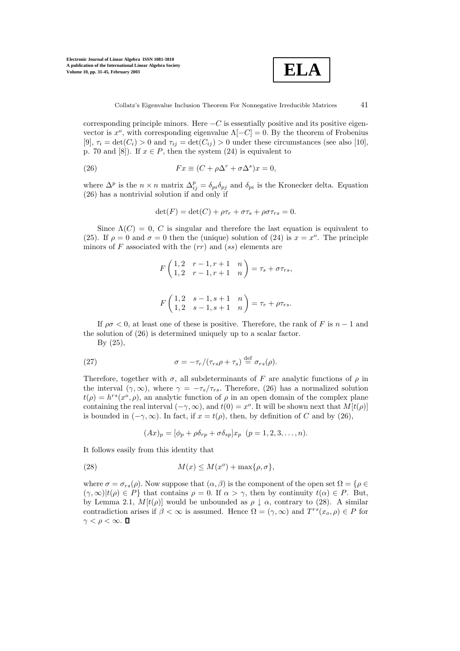

corresponding principle minors. Here  $-C$  is essentially positive and its positive eigenvector is  $x^o$ , with corresponding eigenvalue  $\Lambda[-C]=0$ . By the theorem of Frobenius [9],  $\tau_i = \det(C_i) > 0$  and  $\tau_{ij} = \det(C_{ij}) > 0$  under these circumstances (see also [10], p. 70 and [8]). If  $x \in P$ , then the system (24) is equivalent to

(26) 
$$
Fx \equiv (C + \rho \Delta^r + \sigma \Delta^s)x = 0,
$$

where  $\Delta^p$  is the  $n \times n$  matrix  $\Delta_{ij}^p = \delta_{pi} \delta_{pj}$  and  $\delta_{pi}$  is the Kronecker delta. Equation (26) has a nontrivial solution if and only if

$$
\det(F) = \det(C) + \rho \tau_r + \sigma \tau_s + \rho \sigma \tau_{rs} = 0.
$$

Since  $\Lambda(C) = 0$ , C is singular and therefore the last equation is equivalent to (25). If  $\rho = 0$  and  $\sigma = 0$  then the (unique) solution of (24) is  $x = x^o$ . The principle minors of F associated with the  $(rr)$  and  $(ss)$  elements are

$$
F\begin{pmatrix} 1,2 & r-1,r+1 & n \\ 1,2 & r-1,r+1 & n \end{pmatrix} = \tau_s + \sigma \tau_{rs},
$$

$$
F\begin{pmatrix} 1,2 & s-1,s+1 & n \\ 1,2 & s-1,s+1 & n \end{pmatrix} = \tau_r + \rho \tau_{rs}.
$$

If  $\rho \sigma < 0$ , at least one of these is positive. Therefore, the rank of F is  $n-1$  and the solution of (26) is determined uniquely up to a scalar factor.

By (25),

(27) 
$$
\sigma = -\tau_r / (\tau_{rs}\rho + \tau_s) \stackrel{\text{def}}{=} \sigma_{rs}(\rho).
$$

Therefore, together with  $\sigma$ , all subdeterminants of F are analytic functions of  $\rho$  in the interval  $(\gamma, \infty)$ , where  $\gamma = -\tau_s/\tau_{rs}$ . Therefore, (26) has a normalized solution  $t(\rho) = h^{rs}(x^{\circ}, \rho)$ , an analytic function of  $\rho$  in an open domain of the complex plane containing the real interval  $(-\gamma, \infty)$ , and  $t(0) = x^o$ . It will be shown next that  $M[t(\rho)]$ is bounded in  $(-\gamma, \infty)$ . In fact, if  $x = t(\rho)$ , then, by definition of C and by (26),

 $(Ax)_p = [\phi_p + \rho \delta_{rp} + \sigma \delta_{sp}] x_p \quad (p = 1, 2, 3, \dots, n).$ 

It follows easily from this identity that

(28) 
$$
M(x) \leq M(x^o) + \max\{\rho, \sigma\},\
$$

where  $\sigma = \sigma_{rs}(\rho)$ . Now suppose that  $(\alpha, \beta)$  is the component of the open set  $\Omega = \{ \rho \in \mathbb{R}^n : s \in \mathbb{R}^n \mid s \in \mathbb{R}^n \}$  $(\gamma, \infty)|t(\rho) \in P\}$  that contains  $\rho = 0$ . If  $\alpha > \gamma$ , then by continuity  $t(\alpha) \in P$ . But, by Lemma 2.1,  $M[t(\rho)]$  would be unbounded as  $\rho \downarrow \alpha$ , contrary to (28). A similar contradiction arises if  $\beta < \infty$  is assumed. Hence  $\Omega = (\gamma, \infty)$  and  $T^{rs}(x_o, \rho) \in P$  for  $\gamma < \rho < \infty$ .  $\Box$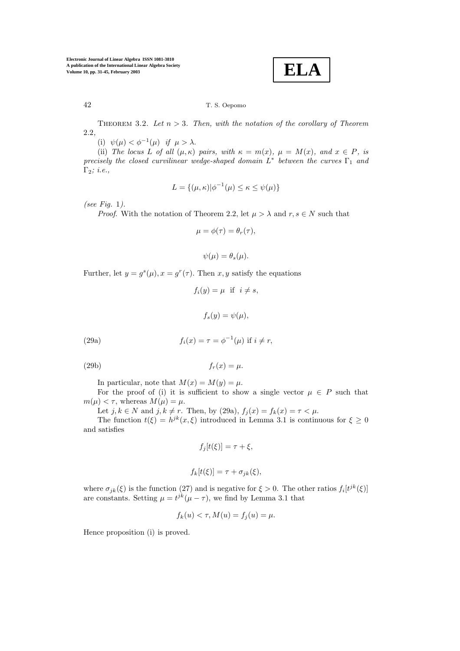**ELA**

## 42 T. S. Oepomo

THEOREM 3.2. Let  $n > 3$ . Then, with the notation of the corollary of Theorem 2.2*,*

(i)  $\psi(\mu) < \phi^{-1}(\mu)$  *if*  $\mu > \lambda$ .

(ii) *The locus* L of all  $(\mu, \kappa)$  *pairs, with*  $\kappa = m(x)$ *,*  $\mu = M(x)$ *, and*  $x \in P$ *, is precisely the closed curvilinear wedge-shaped domain*  $L^*$  *between the curves* Γ<sub>1</sub> *and* Γ2*; i.e.,*

$$
L = \{(\mu, \kappa) | \phi^{-1}(\mu) \le \kappa \le \psi(\mu)\}
$$

*(see Fig.* 1*).*

*Proof.* With the notation of Theorem 2.2, let  $\mu > \lambda$  and  $r, s \in N$  such that

$$
\mu = \phi(\tau) = \theta_r(\tau),
$$

$$
\psi(\mu) = \theta_s(\mu).
$$

Further, let  $y = g<sup>s</sup>(\mu)$ ,  $x = g<sup>r</sup>(\tau)$ . Then  $x, y$  satisfy the equations

$$
f_i(y) = \mu \text{ if } i \neq s,
$$
  

$$
f_s(y) = \psi(\mu),
$$

(29a)  $f_i(x) = \tau = \phi^{-1}(\mu)$  if  $i \neq r$ ,

(29b)  $f_r(x) = \mu.$ 

In particular, note that  $M(x) = M(y) = \mu$ .

For the proof of (i) it is sufficient to show a single vector  $\mu \in P$  such that  $m(\mu) < \tau$ , whereas  $M(\mu) = \mu$ .

Let  $j, k \in N$  and  $j, k \neq r$ . Then, by (29a),  $f_i(x) = f_k(x) = \tau \lt \mu$ .

The function  $t(\xi) = h^{jk}(x,\xi)$  introduced in Lemma 3.1 is continuous for  $\xi \ge 0$ and satisfies

$$
f_j[t(\xi)] = \tau + \xi,
$$

$$
f_k[t(\xi)] = \tau + \sigma_{jk}(\xi),
$$

where  $\sigma_{jk}(\xi)$  is the function (27) and is negative for  $\xi > 0$ . The other ratios  $f_i[t^{jk}(\xi)]$ are constants. Setting  $\mu = t^{jk}(\mu - \tau)$ , we find by Lemma 3.1 that

$$
f_k(u) < \tau, M(u) = f_j(u) = \mu.
$$

Hence proposition (i) is proved.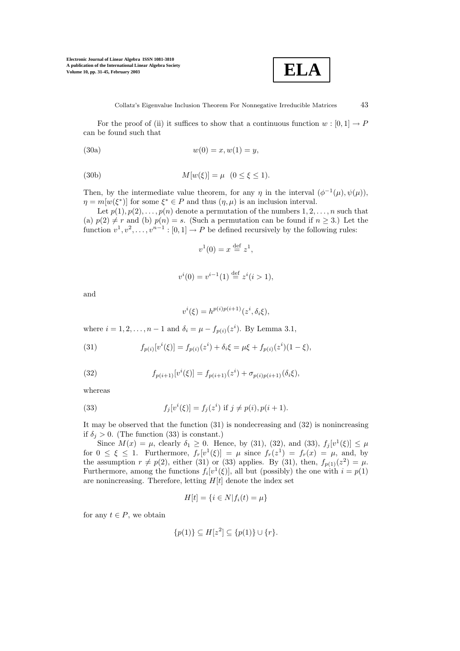

For the proof of (ii) it suffices to show that a continuous function  $w : [0,1] \to P$ can be found such that

(30a) 
$$
w(0) = x, w(1) = y,
$$

(30b) 
$$
M[w(\xi)] = \mu \quad (0 \le \xi \le 1).
$$

Then, by the intermediate value theorem, for any  $\eta$  in the interval  $(\phi^{-1}(\mu), \psi(\mu))$ ,  $\eta = m[w(\xi^*)]$  for some  $\xi^* \in P$  and thus  $(\eta, \mu)$  is an inclusion interval.

Let  $p(1), p(2), \ldots, p(n)$  denote a permutation of the numbers  $1, 2, \ldots, n$  such that (a)  $p(2) \neq r$  and (b)  $p(n) = s$ . (Such a permutation can be found if  $n \geq 3$ .) Let the function  $v^1, v^2, \ldots, v^{n-1} : [0,1] \to P$  be defined recursively by the following rules:

$$
v^1(0) = x \stackrel{\text{def}}{=} z^1,
$$

$$
v^{i}(0) = v^{i-1}(1) \stackrel{\text{def}}{=} z^{i}(i > 1),
$$

and

$$
v^i(\xi) = h^{p(i)p(i+1)}(z^i, \delta_i \xi),
$$

where  $i = 1, 2, ..., n - 1$  and  $\delta_i = \mu - f_{p(i)}(z^i)$ . By Lemma 3.1,

(31) 
$$
f_{p(i)}[v^i(\xi)] = f_{p(i)}(z^i) + \delta_i \xi = \mu \xi + f_{p(i)}(z^i)(1 - \xi),
$$

(32) 
$$
f_{p(i+1)}[v^{i}(\xi)] = f_{p(i+1)}(z^{i}) + \sigma_{p(i)p(i+1)}(\delta_{i}\xi),
$$

whereas

(33) 
$$
f_j[v^i(\xi)] = f_j(z^i) \text{ if } j \neq p(i), p(i+1).
$$

It may be observed that the function (31) is nondecreasing and (32) is nonincreasing if  $\delta_j > 0$ . (The function (33) is constant.)

Since  $M(x) = \mu$ , clearly  $\delta_1 \ge 0$ . Hence, by (31), (32), and (33),  $f_i[v^1(\xi)] \le \mu$ for  $0 \leq \xi \leq 1$ . Furthermore,  $f_r[v^1(\xi)] = \mu$  since  $f_r(z^1) = f_r(x) = \mu$ , and, by the assumption  $r \neq p(2)$ , either (31) or (33) applies. By (31), then,  $f_{p(1)}(z^2) = \mu$ . Furthermore, among the functions  $f_i[v^1(\xi)]$ , all but (possibly) the one with  $i = p(1)$ are nonincreasing. Therefore, letting  $H[t]$  denote the index set

$$
H[t] = \{i \in N | f_i(t) = \mu\}
$$

for any  $t \in P$ , we obtain

$$
\{p(1)\} \subseteq H[z^2] \subseteq \{p(1)\} \cup \{r\}.
$$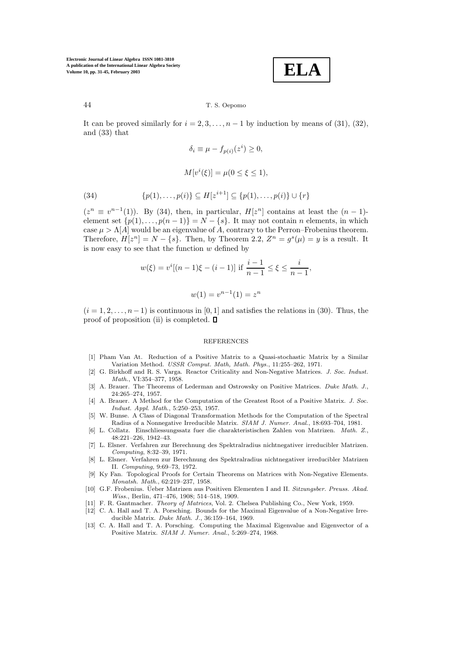**ELA**

#### 44 T. S. Oepomo

It can be proved similarly for  $i = 2, 3, \ldots, n - 1$  by induction by means of (31), (32), and (33) that

$$
\delta_i \equiv \mu - f_{p(i)}(z^i) \ge 0,
$$

$$
M[v^i(\xi)] = \mu(0 \le \xi \le 1),
$$

(34) 
$$
\{p(1),...,p(i)\} \subseteq H[z^{i+1}] \subseteq \{p(1),...,p(i)\} \cup \{r\}
$$

 $(z^n \equiv v^{n-1}(1))$ . By (34), then, in particular,  $H[z^n]$  contains at least the  $(n-1)$ element set  $\{p(1),...,p(n-1)\} = N - \{s\}$ . It may not contain n elements, in which case  $\mu > \Lambda[A]$  would be an eigenvalue of A, contrary to the Perron–Frobenius theorem. Therefore,  $H[z^n] = N - \{s\}$ . Then, by Theorem 2.2,  $Z^n = g^s(\mu) = y$  is a result. It is now easy to see that the function  $w$  defined by

$$
w(\xi) = v^{i}[(n-1)\xi - (i-1)] \text{ if } \frac{i-1}{n-1} \le \xi \le \frac{i}{n-1},
$$
  

$$
w(1) = v^{n-1}(1) = z^{n}
$$

 $(i = 1, 2, \ldots, n-1)$  is continuous in [0, 1] and satisfies the relations in (30). Thus, the proof of proposition (ii) is completed.  $\Box$ 

#### REFERENCES

- [1] Pham Van At. Reduction of a Positive Matrix to a Quasi-stochastic Matrix by a Similar Variation Method. *USSR Comput. Math, Math. Phys.*, 11:255–262, 1971.
- [2] G. Birkhoff and R. S. Varga. Reactor Criticality and Non-Negative Matrices. *J. Soc. Indust. Math.*, VI:354–377, 1958.
- [3] A. Brauer. The Theorems of Lederman and Ostrowsky on Positive Matrices. *Duke Math. J.*, 24:265–274, 1957.
- [4] A. Brauer. A Method for the Computation of the Greatest Root of a Positive Matrix. *J. Soc. Indust. Appl. Math.*, 5:250–253, 1957.
- [5] W. Bunse. A Class of Diagonal Transformation Methods for the Computation of the Spectral Radius of a Nonnegative Irreducible Matrix. *SIAM J. Numer. Anal.*, 18:693–704, 1981.
- [6] L. Collatz. Einschliessungssatz fuer die charakteristischen Zahlen von Matrizen. *Math. Z.*, 48:221–226, 1942–43.
- [7] L. Elsner. Verfahren zur Berechnung des Spektralradius nichtnegativer irreducibler Matrizen. *Computing*, 8:32–39, 1971.
- [8] L. Elsner. Verfahren zur Berechnung des Spektralradius nichtnegativer irreducibler Matrizen II. *Computing*, 9:69–73, 1972.
- [9] Ky Fan. Topological Proofs for Certain Theorems on Matrices with Non-Negative Elements. *Monatsh. Math.*, 62:219–237, 1958.
- [10] G.F. Frobenius. Üeber Matrizen aus Positiven Elementen I and II. *Sitzungsber. Preuss. Akad. Wiss.*, Berlin, 471–476, 1908; 514–518, 1909.
- [11] F. R. Gantmacher. *Theory of Matrices*, Vol. 2. Chelsea Publishing Co., New York, 1959.
- [12] C. A. Hall and T. A. Porsching. Bounds for the Maximal Eigenvalue of a Non-Negative Irreducible Matrix. *Duke Math. J.*, 36:159–164, 1969.
- [13] C. A. Hall and T. A. Porsching. Computing the Maximal Eigenvalue and Eigenvector of a Positive Matrix. *SIAM J. Numer. Anal.*, 5:269–274, 1968.